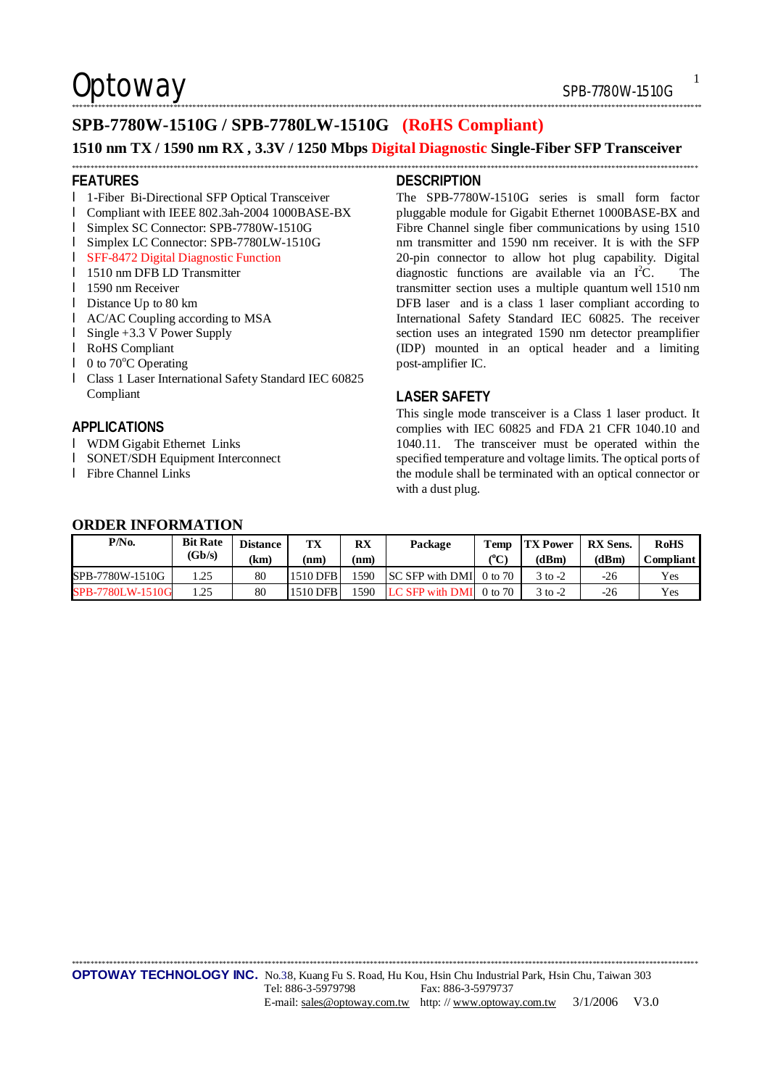\*\*\*\*\*\*\*\*\*\*\*\*\*\*\*\*\*\*\*\*\*\*\*\*\*\*\*\*\*\*\*\*\*\*\*\*\*\*\*\*\*\*\*\*\*\*\*\*\*\*\*\*\*\*\*\*\*\*\*\*\*\*\*\*\*\*\*\*\*\*\*\*\*\*\*\*\*\*\*\*\*\*\*\*\*\*\*\*\*\*\*\*\*\*\*\*\*\*\*\*\*\*\*\*\*\*\*\*\*\*\*\*\*\*\*\*\*\*\*\*\*\*\*\*\*\*\*\*\*\*\*\*\*\*\*\*\*\*\*\*\*\*\*\*\*\*\*\*\*\*\*\*\*\*\*\*\*\*\*\*\*\*\*\*\*\*\*

1

## Optoway SPB-7780W-1510G

## **SPB-7780W-1510G / SPB-7780LW-1510G (RoHS Compliant)**

### **1510 nm TX / 1590 nm RX , 3.3V / 1250 Mbps Digital Diagnostic Single-Fiber SFP Transceiver**  \*\*\*\*\*\*\*\*\*\*\*\*\*\*\*\*\*\*\*\*\*\*\*\*\*\*\*\*\*\*\*\*\*\*\*\*\*\*\*\*\*\*\*\*\*\*\*\*\*\*\*\*\*\*\*\*\*\*\*\*\*\*\*\*\*\*\*\*\*\*\*\*\*\*\*\*\*\*\*\*\*\*\*\*\*\*\*\*\*\*\*\*\*\*\*\*\*\*\*\*\*\*\*\*\*\*\*\*\*\*\*\*\*\*\*\*\*\*\*\*\*\*\*\*\*\*\*\*\*\*\*\*\*\*\*\*\*\*\*\*\*\*\*\*\*\*\*\*\*\*\*\*\*\*\*\*\*\*\*\*\*\*\*\*\*\*

### **FEATURES**

- l 1-Fiber Bi-Directional SFP Optical Transceiver
- l Compliant with IEEE 802.3ah-2004 1000BASE-BX
- l Simplex SC Connector: SPB-7780W-1510G
- l Simplex LC Connector: SPB-7780LW-1510G
- l SFF-8472 Digital Diagnostic Function
- l 1510 nm DFB LD Transmitter
- **l** 1590 nm Receiver
- l Distance Up to 80 km
- l AC/AC Coupling according to MSA
- l Single +3.3 V Power Supply
- l RoHS Compliant
- $\blacksquare$  0 to 70 $\mathrm{^{\circ}C}$  Operating
- l Class 1 Laser International Safety Standard IEC 60825 Compliant

## **APPLICATIONS**

- l WDM Gigabit Ethernet Links
- l SONET/SDH Equipment Interconnect
- l Fibre Channel Links

## **DESCRIPTION**

The SPB-7780W-1510G series is small form factor pluggable module for Gigabit Ethernet 1000BASE-BX and Fibre Channel single fiber communications by using 1510 nm transmitter and 1590 nm receiver. It is with the SFP 20-pin connector to allow hot plug capability. Digital diagnostic functions are available via an  $I<sup>2</sup>C$ . The transmitter section uses a multiple quantum well 1510 nm DFB laser and is a class 1 laser compliant according to International Safety Standard IEC 60825. The receiver section uses an integrated 1590 nm detector preamplifier (IDP) mounted in an optical header and a limiting post-amplifier IC.

## **LASER SAFETY**

This single mode transceiver is a Class 1 laser product. It complies with IEC 60825 and FDA 21 CFR 1040.10 and 1040.11. The transceiver must be operated within the specified temperature and voltage limits. The optical ports of the module shall be terminated with an optical connector or with a dust plug.

## **ORDER INFORMATION**

| P/No.            | <b>Bit Rate</b><br>(Gb/s) | <b>Distance</b><br>km. | TX<br>(nm | RX<br>nm | Package                     | Temp<br>${}^{\prime\prime}$ C) | <b>TX Power</b><br>(dBm) | <b>RX Sens.</b><br>(dBm | <b>RoHS</b><br><b>Compliant</b> |
|------------------|---------------------------|------------------------|-----------|----------|-----------------------------|--------------------------------|--------------------------|-------------------------|---------------------------------|
| SPB-7780W-1510G  | .25                       | 80                     | 1510 DFB  | 590      | $ SC SFP with DMI $ 0 to 70 |                                | $3$ to $-2$              | -26                     | Yes                             |
| SPB-7780LW-1510G |                           | 80                     | 1510 DFB  | 1590     | LC SFP with DMI             | $0 \text{ to } 70$             | $3$ to $-2$              | -26                     | Yes                             |

\*\*\*\*\*\*\*\*\*\*\*\*\*\*\*\*\*\*\*\*\*\*\*\*\*\*\*\*\*\*\*\*\*\*\*\*\*\*\*\*\*\*\*\*\*\*\*\*\*\*\*\*\*\*\*\*\*\*\*\*\*\*\*\*\*\*\*\*\*\*\*\*\*\*\*\*\*\*\*\*\*\*\*\*\*\*\*\*\*\*\*\*\*\*\*\*\*\*\*\*\*\*\*\*\*\*\*\*\*\*\*\*\*\*\*\*\*\*\*\*\*\*\*\*\*\*\*\*\*\*\*\*\*\*\*\*\*\*\*\*\*\*\*\*\*\*\*\*\*\*\*\*\*\*\*\*\*\*\*\*\*\*\*\*\*\*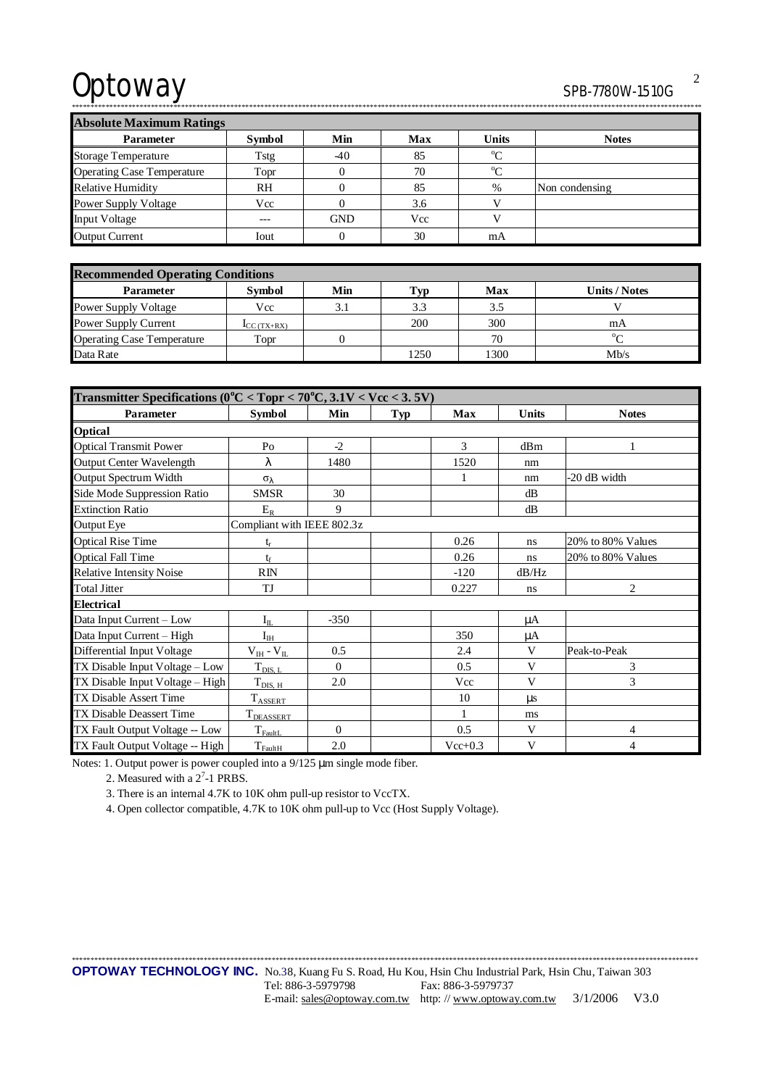# Optoway SPB-7780W-1510G

\*\*\*\*\*\*\*\*\*\*\*\*\*\*\*\*\*\*\*\*\*\*\*\*\*\*\*\*\*\*\*\*\*\*\*\*\*\*\*\*\*\*\*\*\*\*\*\*\*\*\*\*\*\*\*\*\*\*\*\*\*\*\*\*\*\*\*\*\*\*\*\*\*\*\*\*\*\*\*\*\*\*\*\*\*\*\*\*\*\*\*\*\*\*\*\*\*\*\*\*\*\*\*\*\*\*\*\*\*\*\*\*\*\*\*\*\*\*\*\*\*\*\*\*\*\*\*\*\*\*\*\*\*\*\*\*\*\*\*\*\*\*\*\*\*\*\*\*\*\*\*\*\*\*\*\*\*\*\*\*\*\*\*\*\*\*\*

**Absolute Maximum Ratings** 

| Absolute iylaxılılullı Katiligs   |               |            |            |              |                |  |  |  |
|-----------------------------------|---------------|------------|------------|--------------|----------------|--|--|--|
| <b>Parameter</b>                  | <b>Symbol</b> | Min        | <b>Max</b> | <b>Units</b> | <b>Notes</b>   |  |  |  |
| <b>Storage Temperature</b>        | Tstg          | $-40$      | 85         | $\alpha$     |                |  |  |  |
| <b>Operating Case Temperature</b> | Topr          |            | 70         | $\alpha$     |                |  |  |  |
| <b>Relative Humidity</b>          | <b>RH</b>     |            | 85         | %            | Non condensing |  |  |  |
| Power Supply Voltage              | Vcc           |            | 3.6        |              |                |  |  |  |
| <b>Input Voltage</b>              | $---$         | <b>GND</b> | Vcc        |              |                |  |  |  |
| <b>Output Current</b>             | Iout          |            | 30         | mA           |                |  |  |  |

| <b>Recommended Operating Conditions</b> |               |     |                                     |      |                      |  |  |
|-----------------------------------------|---------------|-----|-------------------------------------|------|----------------------|--|--|
| <b>Parameter</b>                        | <b>Symbol</b> | Min | $\mathbf{T}_{\mathbf{V}\mathbf{D}}$ | Max  | <b>Units / Notes</b> |  |  |
| <b>Power Supply Voltage</b>             | Vcc           | 3.1 | 3.3                                 | 3.5  |                      |  |  |
| Power Supply Current                    | $LC(TX+RX)$   |     | 200                                 | 300  | mA                   |  |  |
| <b>Operating Case Temperature</b>       | Topr          |     |                                     | 70   | $0\sigma$            |  |  |
| Data Rate                               |               |     | 1250                                | 1300 | Mb/s                 |  |  |

| Transmitter Specifications ( $0^{\circ}$ C < Topr < 70 $^{\circ}$ C, 3.1V < Vcc < 3.5V) |                            |          |     |           |              |                   |  |
|-----------------------------------------------------------------------------------------|----------------------------|----------|-----|-----------|--------------|-------------------|--|
| Parameter                                                                               | <b>Symbol</b>              | Min      | Typ | Max       | <b>Units</b> | <b>Notes</b>      |  |
| Optical                                                                                 |                            |          |     |           |              |                   |  |
| <b>Optical Transmit Power</b>                                                           | P <sub>O</sub>             | $-2$     |     | 3         | dBm          |                   |  |
| <b>Output Center Wavelength</b>                                                         | λ                          | 1480     |     | 1520      | nm           |                   |  |
| Output Spectrum Width                                                                   | $\sigma_{\lambda}$         |          |     | 1         | nm           | -20 dB width      |  |
| Side Mode Suppression Ratio                                                             | <b>SMSR</b>                | 30       |     |           | dB           |                   |  |
| <b>Extinction Ratio</b>                                                                 | $E_R$                      | 9        |     |           | dB           |                   |  |
| Output Eye                                                                              | Compliant with IEEE 802.3z |          |     |           |              |                   |  |
| <b>Optical Rise Time</b>                                                                | t,                         |          |     | 0.26      | ns           | 20% to 80% Values |  |
| <b>Optical Fall Time</b>                                                                | $t_{\rm f}$                |          |     | 0.26      | ns           | 20% to 80% Values |  |
| <b>Relative Intensity Noise</b>                                                         | RIN                        |          |     | $-120$    | dB/Hz        |                   |  |
| <b>Total Jitter</b>                                                                     | TJ                         |          |     | 0.227     | ns           | $\overline{2}$    |  |
| <b>Electrical</b>                                                                       |                            |          |     |           |              |                   |  |
| Data Input Current - Low                                                                | $I_{\rm IL}$               | $-350$   |     |           | μA           |                   |  |
| Data Input Current - High                                                               | $I_{IH}$                   |          |     | 350       | μA           |                   |  |
| Differential Input Voltage                                                              | $V_{IH}$ - $V_{IL}$        | 0.5      |     | 2.4       | V            | Peak-to-Peak      |  |
| TX Disable Input Voltage - Low                                                          | $T_{\text{DIS, L}}$        | $\Omega$ |     | 0.5       | V            | 3                 |  |
| TX Disable Input Voltage - High                                                         | $T_{\text{DIS, H}}$        | 2.0      |     | Vcc       | V            | 3                 |  |
| <b>TX Disable Assert Time</b>                                                           | <b>TASSERT</b>             |          |     | 10        | $\mu$ s      |                   |  |
| TX Disable Deassert Time                                                                | T <sub>DEASSERT</sub>      |          |     | 1         | ms           |                   |  |
| TX Fault Output Voltage -- Low                                                          | $T_{\rm{FaultL}}$          | $\Omega$ |     | 0.5       | V            | 4                 |  |
| TX Fault Output Voltage -- High                                                         | $T_{\text{FaultH}}$        | 2.0      |     | $Vec+0.3$ | V            | 4                 |  |

Notes: 1. Output power is power coupled into a 9/125 μm single mode fiber.

2. Measured with a  $2<sup>7</sup>$ -1 PRBS.

3. There is an internal 4.7K to 10K ohm pull-up resistor to VccTX.

4. Open collector compatible, 4.7K to 10K ohm pull-up to Vcc (Host Supply Voltage).

٦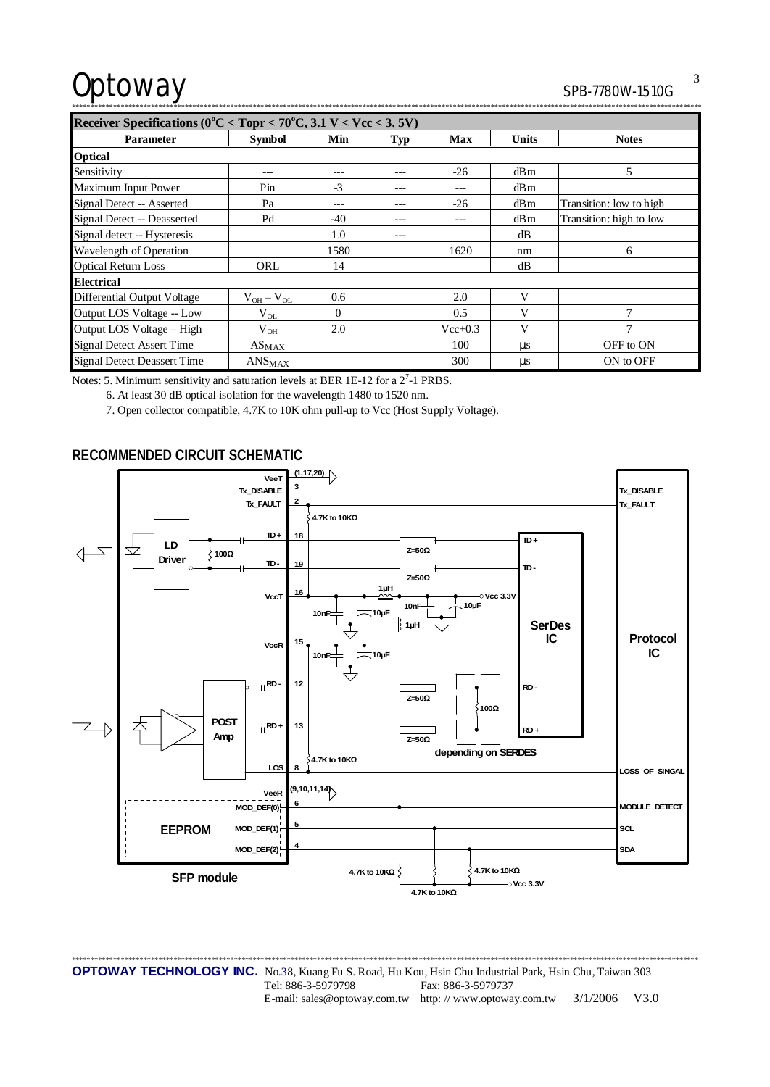# Optoway SPB-7780W-1510G

| <b>JPD-110UW-131UU</b> |
|------------------------|
|                        |

| Receiver Specifications ( $0^{\circ}$ C < Topr < 70 $^{\circ}$ C, 3.1 V < Vcc < 3.5V) |                               |          |            |             |              |                         |  |
|---------------------------------------------------------------------------------------|-------------------------------|----------|------------|-------------|--------------|-------------------------|--|
| <b>Parameter</b>                                                                      | <b>Symbol</b>                 | Min      | <b>Typ</b> | Max         | <b>Units</b> | <b>Notes</b>            |  |
| <b>Optical</b>                                                                        |                               |          |            |             |              |                         |  |
| Sensitivity                                                                           | ---                           | ---      | ---        | $-26$       | dBm          | 5                       |  |
| Maximum Input Power                                                                   | $P_{in}$                      | $-3$     | ---        | ---         | dBm          |                         |  |
| Signal Detect -- Asserted                                                             | Pa                            |          |            | $-26$       | dBm          | Transition: low to high |  |
| Signal Detect -- Deasserted                                                           | Pd                            | $-40$    |            | ---         | dBm          | Transition: high to low |  |
| Signal detect -- Hysteresis                                                           |                               | 1.0      | ---        |             | dB           |                         |  |
| Wavelength of Operation                                                               |                               | 1580     |            | 1620        | nm           | 6                       |  |
| <b>Optical Return Loss</b>                                                            | ORL                           | 14       |            |             | dB           |                         |  |
| <b>Electrical</b>                                                                     |                               |          |            |             |              |                         |  |
| Differential Output Voltage                                                           | $V_{OH} - V_{OL}$             | 0.6      |            | 2.0         | V            |                         |  |
| Output LOS Voltage -- Low                                                             | $V_{OL}$                      | $\Omega$ |            | 0.5         | V            | $\overline{7}$          |  |
| Output LOS Voltage - High                                                             | $V_{OH}$                      | 2.0      |            | $Vec{+}0.3$ | V            | 7                       |  |
| <b>Signal Detect Assert Time</b>                                                      | $AS_{MAX}$                    |          |            | 100         | $\mu s$      | OFF to ON               |  |
| <b>Signal Detect Deassert Time</b>                                                    | $\mathrm{ANS}_{\mathrm{MAX}}$ |          |            | 300         | $\mu s$      | ON to OFF               |  |

Notes: 5. Minimum sensitivity and saturation levels at BER 1E-12 for a  $2^7$ -1 PRBS.

6. At least 30 dB optical isolation for the wavelength 1480 to 1520 nm.

7. Open collector compatible, 4.7K to 10K ohm pull-up to Vcc (Host Supply Voltage).

## **RECOMMENDED CIRCUIT SCHEMATIC**



\*\*\*\*\*\*\*\*\*\*\*\*\*\*\*\*\*\*\*\*\*\*\*\*\*\*\*\*\*\*\*\*\*\*\*\*\*\*\*\*\*\*\*\*\*\*\*\*\*\*\*\*\*\*\*\*\*\*\*\*\*\*\*\*\*\*\*\*\*\*\*\*\*\*\*\*\*\*\*\*\*\*\*\*\*\*\*\*\*\*\*\*\*\*\*\*\*\*\*\*\*\*\*\*\*\*\*\*\*\*\*\*\*\*\*\*\*\*\*\*\*\*\*\*\*\*\*\*\*\*\*\*\*\*\*\*\*\*\*\*\*\*\*\*\*\*\*\*\*\*\*\*\*\*\*\*\*\*\*\*\*\*\*\*\*\* **OPTOWAY TECHNOLOGY INC.** No.38, Kuang Fu S. Road, Hu Kou, Hsin Chu Industrial Park, Hsin Chu, Taiwan 303 Tel: 886-3-5979798 Fax: 886-3-5979737 E-mail: [sales@optoway.com.tw](mailto:sales@optoway.com.tw) http: // [www.optoway.com.tw](http://www.optoway.com.tw) 3/1/2006 V3.0

3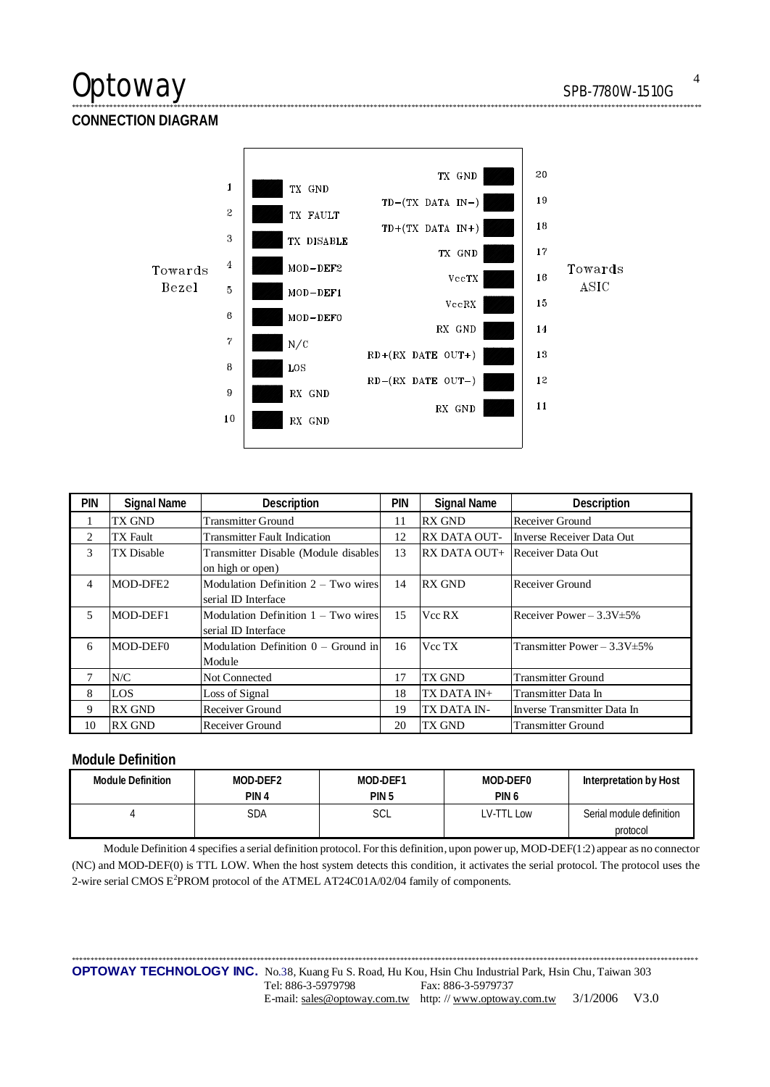## Optoway SPB-7780W-1510G

**CONNECTION DIAGRAM** 



\*\*\*\*\*\*\*\*\*\*\*\*\*\*\*\*\*\*\*\*\*\*\*\*\*\*\*\*\*\*\*\*\*\*\*\*\*\*\*\*\*\*\*\*\*\*\*\*\*\*\*\*\*\*\*\*\*\*\*\*\*\*\*\*\*\*\*\*\*\*\*\*\*\*\*\*\*\*\*\*\*\*\*\*\*\*\*\*\*\*\*\*\*\*\*\*\*\*\*\*\*\*\*\*\*\*\*\*\*\*\*\*\*\*\*\*\*\*\*\*\*\*\*\*\*\*\*\*\*\*\*\*\*\*\*\*\*\*\*\*\*\*\*\*\*\*\*\*\*\*\*\*\*\*\*\*\*\*\*\*\*\*\*\*\*\*\*

| <b>PIN</b> | <b>Signal Name</b> | Description                           | PIN | <b>Signal Name</b>                    | Description                       |
|------------|--------------------|---------------------------------------|-----|---------------------------------------|-----------------------------------|
|            | TX GND             | <b>Transmitter Ground</b>             | 11  | <b>RX GND</b>                         | Receiver Ground                   |
| 2          | <b>TX</b> Fault    | <b>Transmitter Fault Indication</b>   | 12  | <b>RX DATA OUT-</b>                   | Inverse Receiver Data Out         |
| 3          | TX Disable         | Transmitter Disable (Module disables  | 13  | <b>RX DATA OUT+</b> Receiver Data Out |                                   |
|            |                    | on high or open)                      |     |                                       |                                   |
| 4          | MOD-DFE2           | Modulation Definition $2 - Two wires$ | 14  | <b>RX GND</b>                         | Receiver Ground                   |
|            |                    | serial ID Interface                   |     |                                       |                                   |
| 5          | MOD-DEF1           | Modulation Definition 1 – Two wires   | 15  | Vcc RX                                | Receiver Power $-3.3V \pm 5\%$    |
|            |                    | serial ID Interface                   |     |                                       |                                   |
| 6          | MOD-DEF0           | Modulation Definition $0 -$ Ground in | 16  | Vcc TX                                | Transmitter Power $-3.3V \pm 5\%$ |
|            |                    | Module                                |     |                                       |                                   |
|            | N/C                | Not Connected                         | 17  | TX GND                                | <b>Transmitter Ground</b>         |
| 8          | LOS                | Loss of Signal                        | 18  | TX DATA IN+                           | Transmitter Data In               |
| 9          | <b>RX GND</b>      | Receiver Ground                       | 19  | TX DATA IN-                           | Inverse Transmitter Data In       |
| 10         | <b>RX GND</b>      | Receiver Ground                       | 20  | TX GND                                | <b>Transmitter Ground</b>         |

## **Module Definition**

| Module Definition | MOD-DEF2 | MOD-DEF1         | MOD-DEF0         | Interpretation by Host   |
|-------------------|----------|------------------|------------------|--------------------------|
|                   | PIN 4    | PIN <sub>5</sub> | PIN <sub>6</sub> |                          |
|                   | SDA      | SCL              | LV-TTL Low       | Serial module definition |
|                   |          |                  |                  | protocol                 |

Module Definition 4 specifies a serial definition protocol. For this definition, upon power up, MOD-DEF(1:2) appear as no connector (NC) and MOD-DEF(0) is TTL LOW. When the host system detects this condition, it activates the serial protocol. The protocol uses the 2-wire serial CMOS E<sup>2</sup>PROM protocol of the ATMEL AT24C01A/02/04 family of components.

\*\*\*\*\*\*\*\*\*\*\*\*\*\*\*\*\*\*\*\*\*\*\*\*\*\*\*\*\*\*\*\*\*\*\*\*\*\*\*\*\*\*\*\*\*\*\*\*\*\*\*\*\*\*\*\*\*\*\*\*\*\*\*\*\*\*\*\*\*\*\*\*\*\*\*\*\*\*\*\*\*\*\*\*\*\*\*\*\*\*\*\*\*\*\*\*\*\*\*\*\*\*\*\*\*\*\*\*\*\*\*\*\*\*\*\*\*\*\*\*\*\*\*\*\*\*\*\*\*\*\*\*\*\*\*\*\*\*\*\*\*\*\*\*\*\*\*\*\*\*\*\*\*\*\*\*\*\*\*\*\*\*\*\*\*\* **OPTOWAY TECHNOLOGY INC.** No.38, Kuang Fu S. Road, Hu Kou, Hsin Chu Industrial Park, Hsin Chu, Taiwan 303 Tel: 886-3-5979798 Fax: 886-3-5979737 E-mail: [sales@optoway.com.tw](mailto:sales@optoway.com.tw) http: // [www.optoway.com.tw](http://www.optoway.com.tw) 3/1/2006 V3.0

4